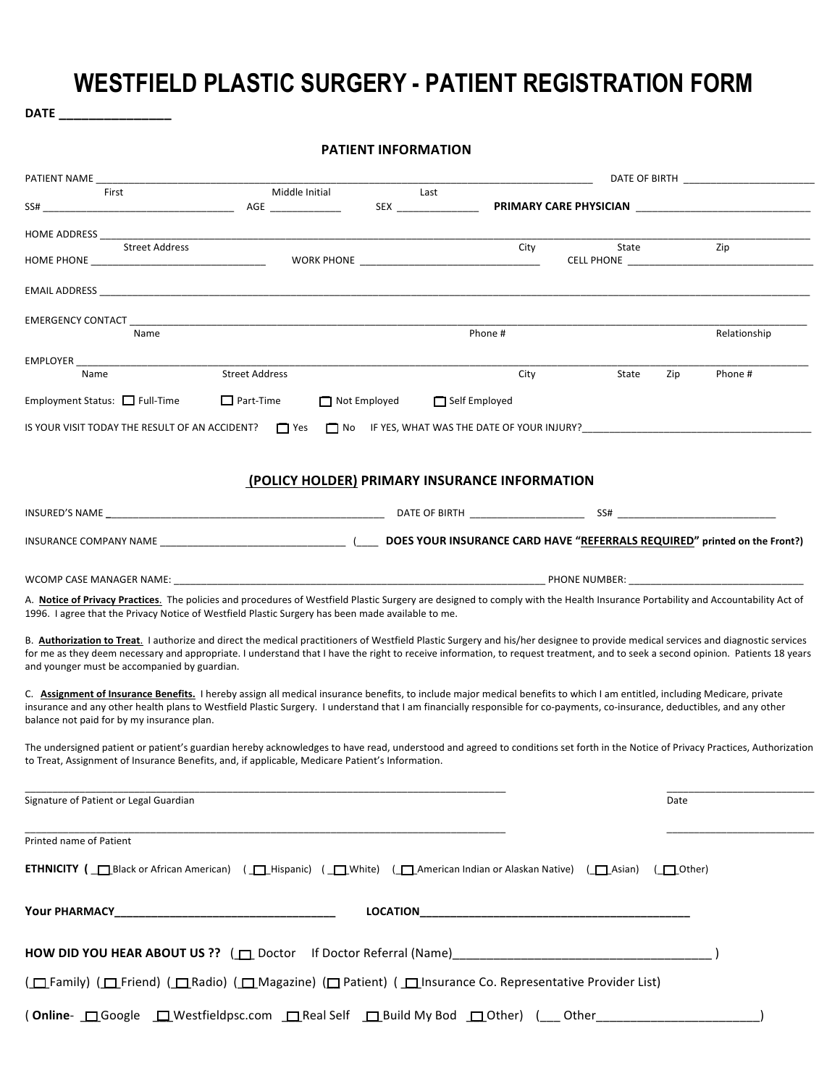## **WESTFIELD PLASTIC SURGERY - PATIENT REGISTRATION FORM**

DATE \_\_\_\_\_\_\_\_\_\_\_\_\_\_\_\_\_\_\_

|                                                                                                                                                                                                                                                                                                                                                                                                                      |                                               | <b>PATIENT INFORMATION</b> |         |       |                        |
|----------------------------------------------------------------------------------------------------------------------------------------------------------------------------------------------------------------------------------------------------------------------------------------------------------------------------------------------------------------------------------------------------------------------|-----------------------------------------------|----------------------------|---------|-------|------------------------|
| PATIENT NAME                                                                                                                                                                                                                                                                                                                                                                                                         |                                               |                            |         |       | DATE OF BIRTH          |
| First<br>SS#                                                                                                                                                                                                                                                                                                                                                                                                         | Middle Initial<br><b>Example 2018</b> AGE     | Last                       |         |       | PRIMARY CARE PHYSICIAN |
| HOME ADDRESS                                                                                                                                                                                                                                                                                                                                                                                                         |                                               |                            |         |       |                        |
| <b>Street Address</b><br>HOME PHONE THE STATE OF THE STATE OF THE STATE OF THE STATE OF THE STATE OF THE STATE OF THE STATE OF THE STATE OF THE STATE OF THE STATE OF THE STATE OF THE STATE OF THE STATE OF THE STATE OF THE STATE OF THE STATE OF THE                                                                                                                                                              |                                               |                            | City    | State | Zip                    |
|                                                                                                                                                                                                                                                                                                                                                                                                                      |                                               |                            |         |       |                        |
| EMERGENCY CONTACT<br>Name                                                                                                                                                                                                                                                                                                                                                                                            |                                               |                            | Phone # |       | Relationship           |
|                                                                                                                                                                                                                                                                                                                                                                                                                      |                                               |                            |         |       |                        |
| Name                                                                                                                                                                                                                                                                                                                                                                                                                 | <b>Street Address</b>                         |                            | City    | State | Zip<br>Phone #         |
| Employment Status: $\Box$ Full-Time<br>IS YOUR VISIT TODAY THE RESULT OF AN ACCIDENT? Thes                                                                                                                                                                                                                                                                                                                           | $\Box$ Part-Time<br>Not Employed<br>$\Box$ No | Self Employed              |         |       |                        |
|                                                                                                                                                                                                                                                                                                                                                                                                                      | (POLICY HOLDER) PRIMARY INSURANCE INFORMATION |                            |         |       |                        |
|                                                                                                                                                                                                                                                                                                                                                                                                                      |                                               |                            |         |       |                        |
|                                                                                                                                                                                                                                                                                                                                                                                                                      |                                               |                            |         |       |                        |
|                                                                                                                                                                                                                                                                                                                                                                                                                      |                                               |                            |         |       |                        |
| A. Notice of Privacy Practices. The policies and procedures of Westfield Plastic Surgery are designed to comply with the Health Insurance Portability and Accountability Act of<br>1996. I agree that the Privacy Notice of Westfield Plastic Surgery has been made available to me.                                                                                                                                 |                                               |                            |         |       |                        |
| B. Authorization to Treat. I authorize and direct the medical practitioners of Westfield Plastic Surgery and his/her designee to provide medical services and diagnostic services<br>for me as they deem necessary and appropriate. I understand that I have the right to receive information, to request treatment, and to seek a second opinion. Patients 18 years<br>and younger must be accompanied by guardian. |                                               |                            |         |       |                        |
| C. Assignment of Insurance Benefits. I hereby assign all medical insurance benefits, to include major medical benefits to which I am entitled, including Medicare, private<br>insurance and any other health plans to Westfield Plastic Surgery. I understand that I am financially responsible for co-payments, co-insurance, deductibles, and any other<br>balance not paid for by my insurance plan.              |                                               |                            |         |       |                        |
| The undersigned patient or patient's guardian hereby acknowledges to have read, understood and agreed to conditions set forth in the Notice of Privacy Practices, Authorization<br>to Treat, Assignment of Insurance Benefits, and, if applicable, Medicare Patient's Information.                                                                                                                                   |                                               |                            |         |       |                        |
| Signature of Patient or Legal Guardian                                                                                                                                                                                                                                                                                                                                                                               |                                               |                            |         |       | Date                   |
| Printed name of Patient                                                                                                                                                                                                                                                                                                                                                                                              |                                               |                            |         |       |                        |
| <b>ETHNICITY</b> ( $\Box$ Black or African American) ( $\Box$ Hispanic) ( $\Box$ White) ( $\Box$ American Indian or Alaskan Native) ( $\Box$ Asian)                                                                                                                                                                                                                                                                  |                                               |                            |         |       | $(\Box$ Other)         |
|                                                                                                                                                                                                                                                                                                                                                                                                                      |                                               |                            |         |       |                        |
|                                                                                                                                                                                                                                                                                                                                                                                                                      |                                               |                            |         |       |                        |
| (□ Family) (□ Friend) (□ Radio) (□ Magazine) (□ Patient) (□ Insurance Co. Representative Provider List)                                                                                                                                                                                                                                                                                                              |                                               |                            |         |       |                        |
|                                                                                                                                                                                                                                                                                                                                                                                                                      |                                               |                            |         | Other |                        |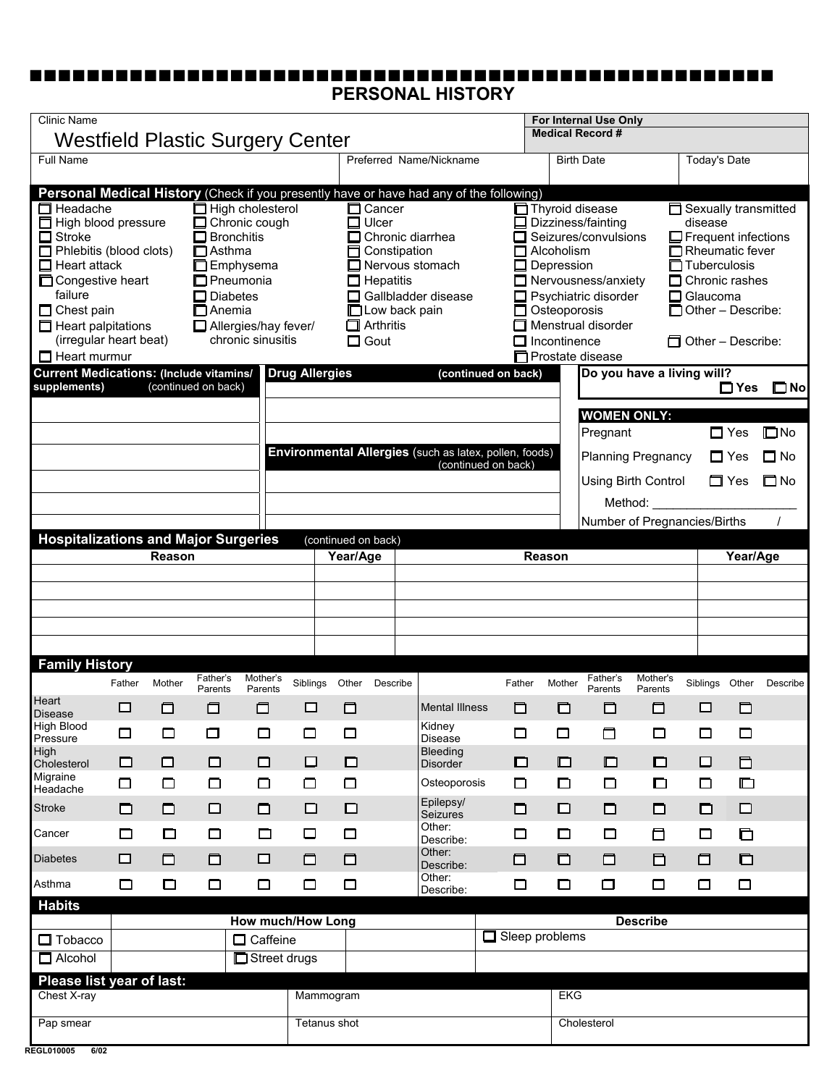## **PERSONAL HISTORY** nnnnnnnnnnnnnnnnnnnnnnnnnnnnnnnnnnnnnnnnnnnnnnnnnnnn

| <b>Clinic Name</b>                                                                                                                                                                                                                                                                                                                                                                                         |                          |        |                                                                                                                                     |                                                                                       |                       |                     |                                                                                                                           |  | For Internal Use Only                                                                                                                                                            |                       |                         |                                                                               |                                                                                                                                                                                                       |                                                              |                                                                                                                                                                                               |                                        |                                           |
|------------------------------------------------------------------------------------------------------------------------------------------------------------------------------------------------------------------------------------------------------------------------------------------------------------------------------------------------------------------------------------------------------------|--------------------------|--------|-------------------------------------------------------------------------------------------------------------------------------------|---------------------------------------------------------------------------------------|-----------------------|---------------------|---------------------------------------------------------------------------------------------------------------------------|--|----------------------------------------------------------------------------------------------------------------------------------------------------------------------------------|-----------------------|-------------------------|-------------------------------------------------------------------------------|-------------------------------------------------------------------------------------------------------------------------------------------------------------------------------------------------------|--------------------------------------------------------------|-----------------------------------------------------------------------------------------------------------------------------------------------------------------------------------------------|----------------------------------------|-------------------------------------------|
| <b>Westfield Plastic Surgery Center</b>                                                                                                                                                                                                                                                                                                                                                                    |                          |        |                                                                                                                                     |                                                                                       |                       |                     |                                                                                                                           |  |                                                                                                                                                                                  |                       | <b>Medical Record #</b> |                                                                               |                                                                                                                                                                                                       |                                                              |                                                                                                                                                                                               |                                        |                                           |
| Full Name                                                                                                                                                                                                                                                                                                                                                                                                  |                          |        |                                                                                                                                     |                                                                                       |                       |                     |                                                                                                                           |  | Preferred Name/Nickname                                                                                                                                                          |                       |                         |                                                                               | <b>Birth Date</b>                                                                                                                                                                                     |                                                              | <b>Today's Date</b>                                                                                                                                                                           |                                        |                                           |
| Personal Medical History (Check if you presently have or have had any of the following)<br>$\Box$ Headache<br>High blood pressure<br>$\Box$ Stroke<br>$\Box$ Phlebitis (blood clots)<br>$\Box$ Heart attack<br>□ Congestive heart<br>failure<br>Chest pain<br>$\Box$ Heart palpitations<br>(irregular heart beat)<br>$\Box$ Heart murmur<br><b>Current Medications: (Include vitamins/</b><br>supplements) |                          |        | $\Box$ Bronchitis<br>$\Box$ Asthma<br>□ Emphysema<br>$\square$ Pneumonia<br><b>Diabetes</b><br>$\Box$ Anemia<br>(continued on back) | $\Box$ High cholesterol<br>Chronic cough<br>Allergies/hay fever/<br>chronic sinusitis | <b>Drug Allergies</b> |                     | <b>Cancer</b><br>$\Box$ Ulcer<br>□ Constipation<br>$\Box$ Hepatitis<br>□ Low back pain<br>$\Box$ Arthritis<br>$\Box$ Gout |  | $\Box$ Chronic diarrhea<br>$\Box$ Nervous stomach<br>Gallbladder disease<br>(continued on back)<br>Environmental Allergies (such as latex, pollen, foods)<br>(continued on back) |                       |                         | $\Box$ Alcoholism<br>$\Box$ Depression<br>Osteoporosis<br>$\Box$ Incontinence | □ Thyroid disease<br>Dizziness/fainting<br>Seizures/convulsions<br>$\Box$ Nervousness/anxiety<br>□ Psychiatric disorder<br>Menstrual disorder<br>□ Prostate disease<br><b>WOMEN ONLY:</b><br>Pregnant | ◻<br>Do you have a living will?<br><b>Planning Pregnancy</b> | Sexually transmitted<br>disease<br>$\Box$ Frequent infections<br>Rheumatic fever<br>Tuberculosis<br>$\Box$ Chronic rashes<br>Glaucoma<br>$\Box$ Other – Describe:<br>$\Box$ Other – Describe: | $\Box$ Yes<br>$\Box$ Yes<br>$\Box$ Yes | $\square$ No<br>$\square$ No<br>$\Box$ No |
| <b>Hospitalizations and Major Surgeries</b>                                                                                                                                                                                                                                                                                                                                                                |                          |        |                                                                                                                                     |                                                                                       |                       | (continued on back) |                                                                                                                           |  |                                                                                                                                                                                  |                       |                         |                                                                               | Method:                                                                                                                                                                                               | Using Birth Control<br>Number of Pregnancies/Births          |                                                                                                                                                                                               | □ Yes                                  | $\square$ No                              |
|                                                                                                                                                                                                                                                                                                                                                                                                            |                          | Reason |                                                                                                                                     |                                                                                       |                       | Year/Age            |                                                                                                                           |  |                                                                                                                                                                                  |                       | Reason                  |                                                                               |                                                                                                                                                                                                       |                                                              |                                                                                                                                                                                               | Year/Age                               |                                           |
|                                                                                                                                                                                                                                                                                                                                                                                                            |                          |        |                                                                                                                                     |                                                                                       |                       |                     |                                                                                                                           |  |                                                                                                                                                                                  |                       |                         |                                                                               |                                                                                                                                                                                                       |                                                              |                                                                                                                                                                                               |                                        |                                           |
| <b>Family History</b>                                                                                                                                                                                                                                                                                                                                                                                      |                          |        |                                                                                                                                     |                                                                                       |                       |                     |                                                                                                                           |  |                                                                                                                                                                                  |                       |                         |                                                                               |                                                                                                                                                                                                       |                                                              |                                                                                                                                                                                               |                                        |                                           |
| Heart                                                                                                                                                                                                                                                                                                                                                                                                      | Father                   | Mother | Father's<br>Parents                                                                                                                 | Mother's<br>Parents                                                                   | Siblings              | Other               | Describe                                                                                                                  |  |                                                                                                                                                                                  |                       | Father                  | Mother                                                                        | Father's<br>Parents                                                                                                                                                                                   | Mother's<br>Parents                                          | Siblings Other                                                                                                                                                                                |                                        | Describe                                  |
| <b>Disease</b><br>High Blood<br>Pressure                                                                                                                                                                                                                                                                                                                                                                   | □<br>□                   | □<br>□ | □<br>□                                                                                                                              | □<br>□                                                                                | $\Box$<br>□           | □<br>□              |                                                                                                                           |  | <b>Mental Illness</b><br>Kidney<br>Disease                                                                                                                                       |                       | □<br>□                  | □<br>□                                                                        | □<br>□                                                                                                                                                                                                | □<br>□                                                       | □<br>$\Box$                                                                                                                                                                                   | ◘<br>$\Box$                            |                                           |
| High                                                                                                                                                                                                                                                                                                                                                                                                       | □                        | $\Box$ | □                                                                                                                                   | $\Box$                                                                                | $\Box$                | $\Box$              |                                                                                                                           |  | Bleeding<br><b>Disorder</b>                                                                                                                                                      |                       | □                       | $\Box$                                                                        | ◻                                                                                                                                                                                                     | $\Box$                                                       | $\Box$                                                                                                                                                                                        | $\Box$                                 |                                           |
| Cholesterol<br>Migraine<br>Headache                                                                                                                                                                                                                                                                                                                                                                        | $\Box$                   | $\Box$ | $\Box$                                                                                                                              | $\Box$                                                                                | $\Box$                | $\Box$              |                                                                                                                           |  | Osteoporosis                                                                                                                                                                     |                       | □                       | $\Box$                                                                        | $\Box$                                                                                                                                                                                                | $\Box$                                                       | $\Box$                                                                                                                                                                                        | $\Box$                                 |                                           |
| <b>Stroke</b>                                                                                                                                                                                                                                                                                                                                                                                              | $\Box$                   | □      | $\Box$                                                                                                                              | □                                                                                     | $\Box$                | $\Box$              |                                                                                                                           |  | Epilepsy/<br><b>Seizures</b>                                                                                                                                                     |                       | □                       | $\Box$                                                                        | □                                                                                                                                                                                                     | □                                                            | $\Box$                                                                                                                                                                                        | $\Box$                                 |                                           |
| Cancer                                                                                                                                                                                                                                                                                                                                                                                                     | $\Box$                   | □      | □                                                                                                                                   | $\Box$                                                                                | □                     | $\Box$              |                                                                                                                           |  | Other:<br>Describe:                                                                                                                                                              |                       | □                       | $\Box$                                                                        | $\Box$                                                                                                                                                                                                | □                                                            | □                                                                                                                                                                                             | o                                      |                                           |
| <b>Diabetes</b>                                                                                                                                                                                                                                                                                                                                                                                            | $\Box$                   | □      | $\Box$                                                                                                                              | □                                                                                     | □                     | $\Box$              |                                                                                                                           |  | Other:<br>Describe:                                                                                                                                                              |                       | □                       | $\Box$                                                                        | $\Box$                                                                                                                                                                                                | 目                                                            | α                                                                                                                                                                                             | $\Box$                                 |                                           |
| Asthma                                                                                                                                                                                                                                                                                                                                                                                                     | $\Box$                   | □      | □                                                                                                                                   | $\Box$                                                                                | $\Box$                | $\Box$              |                                                                                                                           |  | Other:<br>Describe:                                                                                                                                                              |                       | □                       | $\Box$                                                                        | $\Box$                                                                                                                                                                                                | $\Box$                                                       | $\Box$                                                                                                                                                                                        | $\Box$                                 |                                           |
| <b>Habits</b>                                                                                                                                                                                                                                                                                                                                                                                              |                          |        |                                                                                                                                     |                                                                                       |                       |                     |                                                                                                                           |  |                                                                                                                                                                                  |                       |                         |                                                                               |                                                                                                                                                                                                       |                                                              |                                                                                                                                                                                               |                                        |                                           |
|                                                                                                                                                                                                                                                                                                                                                                                                            | <b>How much/How Long</b> |        |                                                                                                                                     |                                                                                       |                       |                     |                                                                                                                           |  |                                                                                                                                                                                  |                       |                         |                                                                               | <b>Describe</b>                                                                                                                                                                                       |                                                              |                                                                                                                                                                                               |                                        |                                           |
| $\Box$ Tobacco<br>$\Box$ Alcohol                                                                                                                                                                                                                                                                                                                                                                           |                          |        |                                                                                                                                     | Caffeine<br>Street drugs                                                              |                       |                     |                                                                                                                           |  |                                                                                                                                                                                  | $\Box$ Sleep problems |                         |                                                                               |                                                                                                                                                                                                       |                                                              |                                                                                                                                                                                               |                                        |                                           |
| Please list year of last:                                                                                                                                                                                                                                                                                                                                                                                  |                          |        |                                                                                                                                     |                                                                                       |                       |                     |                                                                                                                           |  |                                                                                                                                                                                  |                       |                         |                                                                               |                                                                                                                                                                                                       |                                                              |                                                                                                                                                                                               |                                        |                                           |
| Chest X-ray                                                                                                                                                                                                                                                                                                                                                                                                |                          |        |                                                                                                                                     |                                                                                       |                       | Mammogram           |                                                                                                                           |  |                                                                                                                                                                                  |                       |                         | <b>EKG</b>                                                                    |                                                                                                                                                                                                       |                                                              |                                                                                                                                                                                               |                                        |                                           |
| Pap smear                                                                                                                                                                                                                                                                                                                                                                                                  |                          |        |                                                                                                                                     |                                                                                       |                       | Tetanus shot        |                                                                                                                           |  |                                                                                                                                                                                  |                       |                         |                                                                               | Cholesterol                                                                                                                                                                                           |                                                              |                                                                                                                                                                                               |                                        |                                           |